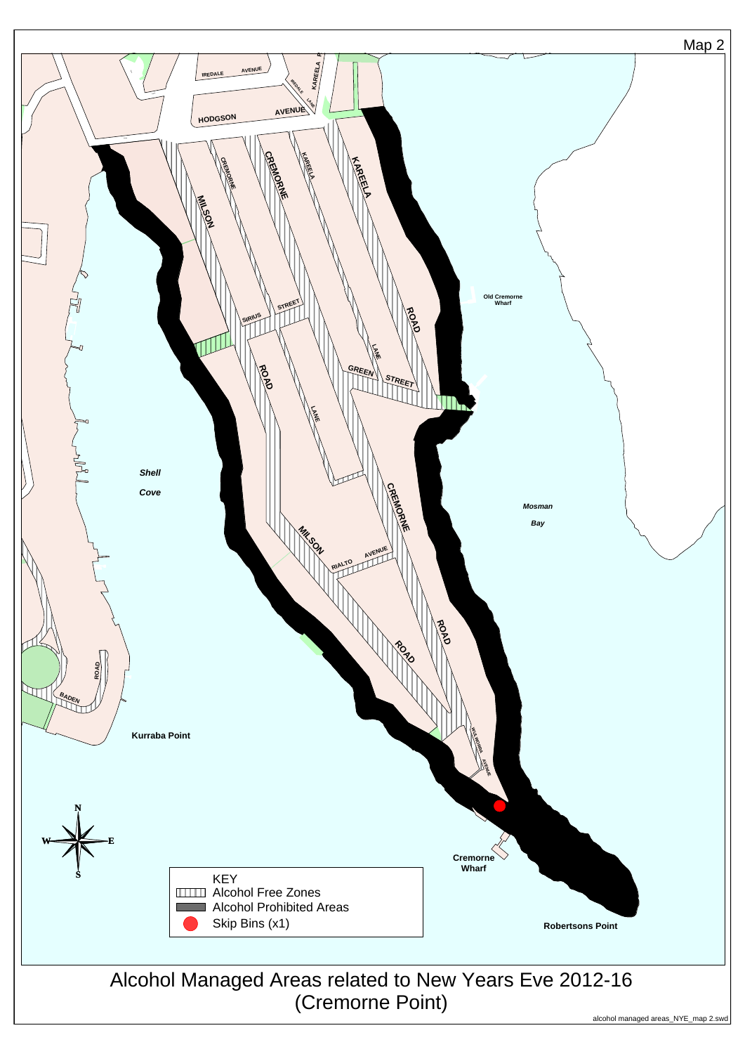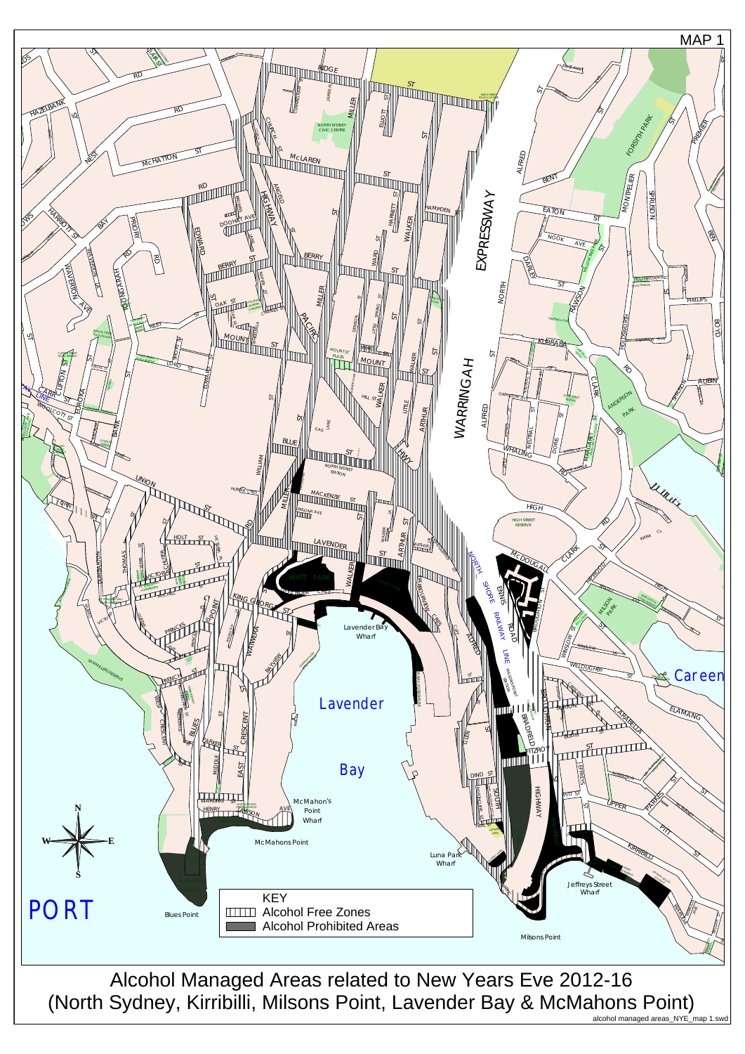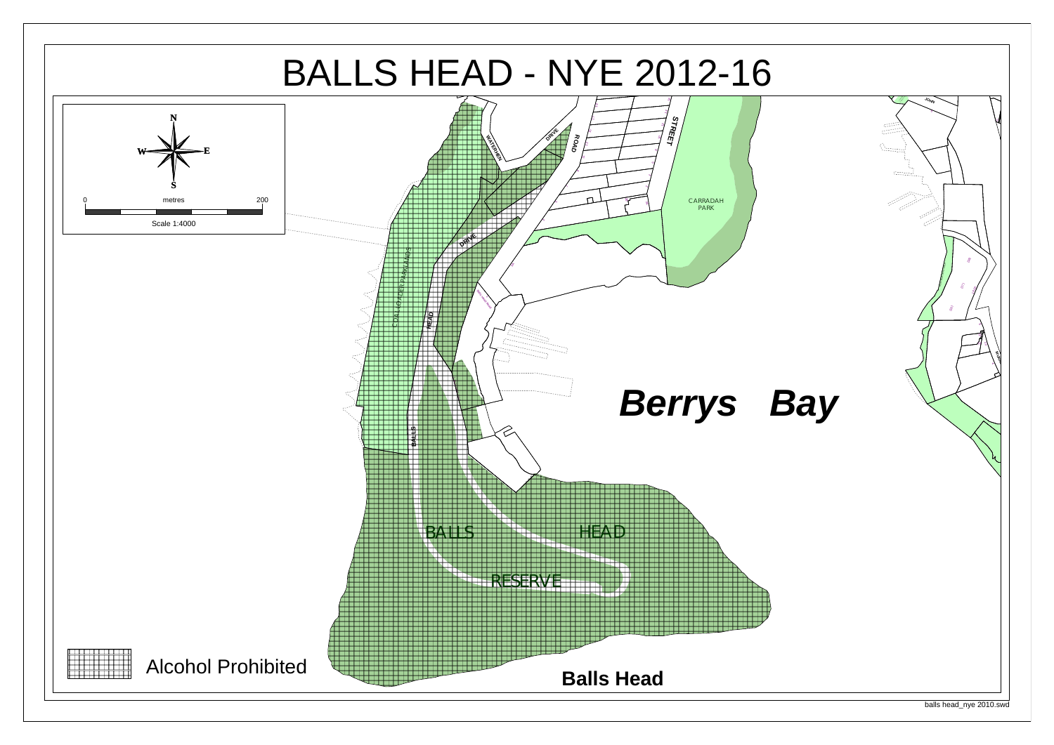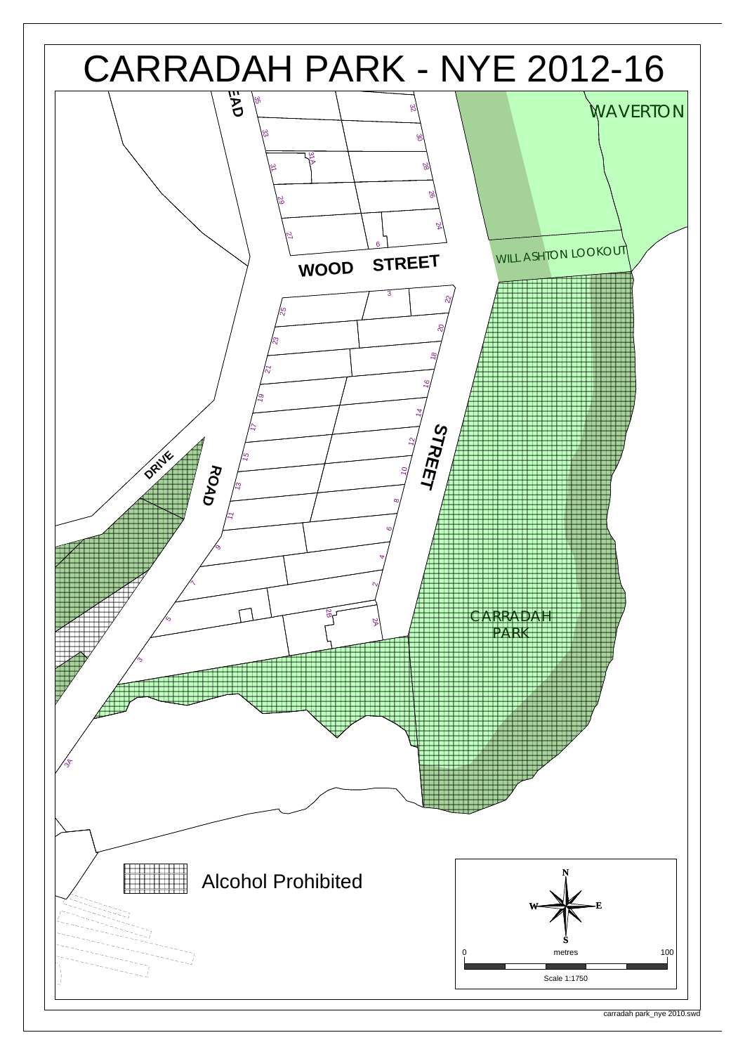

carradah park\_nye 2010.swd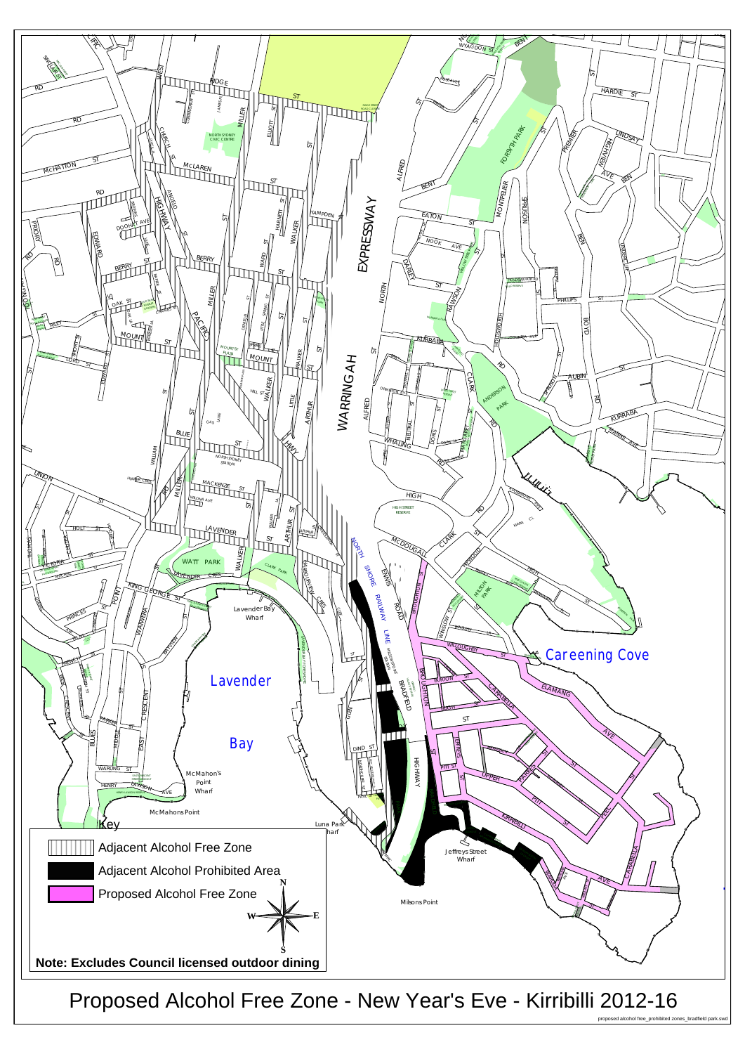

Proposed Alcohol Free Zone - New Year's Eve - Kirribilli 2012-16